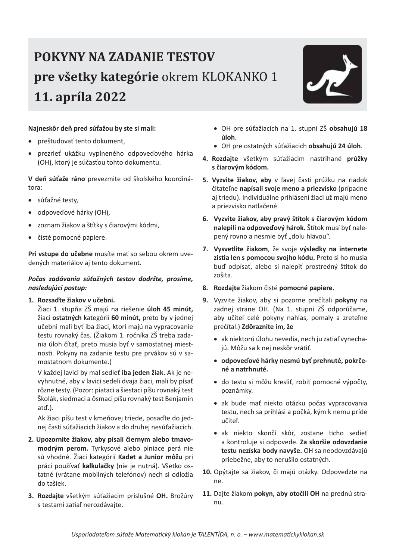## **POKYNY NA ZADANIE TESTOV** pre všetky kategórie okrem KLOKANKO 1 11. apríla 2022



#### Najneskôr deň pred súťažou by ste si mali:

- preštudovať tento dokument,
- prezrieť ukážku vyplneného odpoveďového hárka  $\bullet$ (OH), ktorý je súčasťou tohto dokumentu.

V deň súťaže ráno prevezmite od školského koordinátora:

- · súťažné testy,
- odpoveďové hárky (OH),  $\bullet$
- zoznam žiakov a štítky s čiarovými kódmi,
- čisté pomocné papiere.  $\bullet$

Pri vstupe do učebne musíte mať so sebou okrem uvedených materiálov aj tento dokument.

#### Počas zadávania súťažných testov dodržte, prosíme, nasledujúci postup:

#### 1. Rozsaďte žiakov v učebni.

Žiaci 1. stupňa ZŠ majú na riešenie úloh 45 minút, žiaci ostatných kategórií 60 minút, preto by v jednej učebni mali byť iba žiaci, ktorí majú na vypracovanie testu rovnaký čas. (Žiakom 1. ročníka ZŠ treba zadania úloh čítať, preto musia byť v samostatnej miestnosti. Pokyny na zadanie testu pre prvákov sú v samostatnom dokumente.)

V každej lavici by mal sedieť iba jeden žiak. Ak je nevyhnutné, aby v lavici sedeli dvaja žiaci, mali by písať rôzne testy. (Pozor: piataci a šiestaci píšu rovnaký test Školák, siedmaci a ôsmaci píšu rovnaký test Benjamín atd'.).

Ak žiaci píšu test v kmeňovej triede, posaďte do jednej časti súťažiacich žiakov a do druhej nesúťažiacich.

- 2. Upozornite žiakov, aby písali čiernym alebo tmavomodrým perom. Tyrkysové alebo plniace perá nie sú vhodné. Žiaci kategórií Kadet a Junior môžu pri práci používať kalkulačky (nie je nutná). Všetko ostatné (vrátane mobilných telefónov) nech si odložia do tašiek.
- 3. Rozdajte všetkým súťažiacim príslušné OH. Brožúry s testami zatiaľ nerozdávajte.
- · OH pre súťažiacich na 1. stupni ZŠ obsahujú 18 úloh.
- · OH pre ostatných súťažiacich obsahujú 24 úloh.
- 4. Rozdajte všetkým súťažiacim nastrihané prúžky s čiarovým kódom.
- 5. Vyzvite žiakov, aby v ľavej časti prúžku na riadok čitateľne napísali svoje meno a priezvisko (prípadne aj triedu). Individuálne prihlásení žiaci už majú meno a priezvisko natlačené.
- 6. Vyzvite žiakov, aby pravý štítok s čiarovým kódom nalepili na odpoveďový hárok. Štítok musí byť nalepený rovno a nesmie byť "dolu hlavou".
- 7. Vysvetlite žiakom, že svoje výsledky na internete zistia len s pomocou svojho kódu. Preto si ho musia buď odpísať, alebo si nalepiť prostredný štítok do zošita.
- 8. Rozdajte žiakom čisté pomocné papiere.
- 9. Vyzvite žiakov, aby si pozorne prečítali pokyny na zadnej strane OH. (Na 1. stupni ZŠ odporúčame, aby učiteľ celé pokyny nahlas, pomaly a zreteľne prečítal.) Zdôraznite im, že
	- · ak niektorú úlohu nevedia, nech ju zatiaľ vynechajú. Môžu sa k nej neskôr vrátiť.
	- · odpoveďové hárky nesmú byť prehnuté, pokrčené a natrhnuté.
	- · do testu si môžu kresliť, robiť pomocné výpočty, poznámky.
	- · ak bude mať niekto otázku počas vypracovania testu, nech sa prihlási a počká, kým k nemu príde učiteľ.
	- · ak niekto skončí skôr, zostane ticho sedieť a kontroluje si odpovede. Za skoršie odovzdanie testu nezíska body navyše. OH sa neodovzdávajú priebežne, aby to nerušilo ostatných.
- 10. Opýtajte sa žiakov, či majú otázky. Odpovedzte na ne.
- 11. Dajte žiakom pokyn, aby otočili OH na prednú stranu.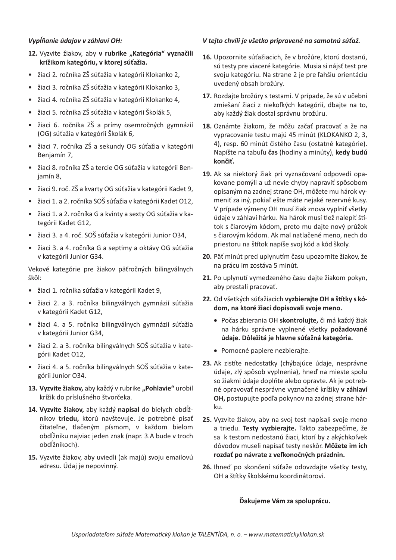#### Vypĺňanie údajov v záhlaví OH:

- 12. Vyzvite žiakov, aby v rubrike "Kategória" vyznačili krížikom kategóriu, v ktorej súťažia.
- · žiaci 2. ročníka ZŠ súťažia v kategórii Klokanko 2,
- žiaci 3. ročníka ZŠ súťažia v kategórii Klokanko 3.  $\bullet$
- · žiaci 4. ročníka ZŠ súťažia v kategórii Klokanko 4,
- · žiaci 5. ročníka ZŠ súťažia v kategórii Školák 5.
- · žiaci 6. ročníka ZŠ a prímy osemročných gymnázií (OG) súťažia v kategórii Školák 6,
- · žiaci 7. ročníka ZŠ a sekundy OG súťažia v kategórii Benjamín 7,
- · žiaci 8. ročníka ZŠ a tercie OG súťažia v kategórii Beniamín 8.
- · žiaci 9. roč. ZŠ a kvarty OG súťažia v kategórii Kadet 9,
- · žiaci 1. a 2. ročníka SOŠ súťažia v kategórii Kadet O12,
- · žiaci 1. a 2. ročníka G a kvinty a sexty OG súťažia v kategórii Kadet G12,
- žiaci 3. a 4. roč. SOŠ súťažia v kategórii Junior O34,
- · žiaci 3. a 4. ročníka G a septimy a oktávy OG súťažia v kategórii Junior G34.

Vekové kategórie pre žiakov päťročných bilingválnych škôl:

- · žiaci 1. ročníka súťažia v kategórii Kadet 9,
- · žiaci 2. a 3. ročníka bilingválnych gymnázií súťažia v kategórii Kadet G12,
- · žiaci 4. a 5. ročníka bilingválnych gymnázií súťažia v kategórii Junior G34,
- · žiaci 2. a 3. ročníka bilingválnych SOŠ súťažia v kategórii Kadet O12,
- · žiaci 4. a 5. ročníka bilingválnych SOŠ súťažia v kategórii Junior O34.
- 13. Vyzvite žiakov, aby každý v rubrike "Pohlavie" urobil krížik do príslušného štvorčeka.
- 14. Vyzvite žiakov, aby každý napísal do bielych obdĺžnikov triedu, ktorú navštevuje. Je potrebné písať čitateľne, tlačeným písmom, v každom bielom obdĺžniku najviac jeden znak (napr. 3.A bude v troch obdĺžnikoch).
- 15. Vyzvite žiakov, aby uviedli (ak majú) svoju emailovú adresu. Údaj je nepovinný.

### V tejto chvíli je všetko pripravené na samotnú súťaž.

- 16. Upozornite súťažiacich, že v brožúre, ktorú dostanú, sú testy pre viaceré kategórie. Musia si nájsť test pre svoju kategóriu. Na strane 2 je pre ľahšiu orientáciu uvedený obsah brožúry.
- 17. Rozdajte brožúry s testami. V prípade, že sú v učebni zmiešaní žiaci z niekoľkých kategórií, dbajte na to, aby každý žiak dostal správnu brožúru.
- 18. Oznámte žiakom, že môžu začať pracovať a že na vypracovanie testu majú 45 minút (KLOKANKO 2, 3, 4), resp. 60 minút čistého času (ostatné kategórie). Napíšte na tabuľu čas (hodiny a minúty), kedy budú končiť.
- 19. Ak sa niektorý žiak pri vyznačovaní odpovedí opakovane pomýli a už nevie chyby napraviť spôsobom opísaným na zadnej strane OH, môžete mu hárok vymeniť za iný, pokiaľ ešte máte nejaké rezervné kusy. V prípade výmeny OH musí žiak znova vyplniť všetky údaje v záhlaví hárku. Na hárok musí tiež nalepiť štítok s čiarovým kódom, preto mu dajte nový prúžok s čiarovým kódom. Ak mal natlačené meno, nech do priestoru na štítok napíše svoj kód a kód školy.
- 20. Päť minút pred uplynutím času upozornite žiakov, že na prácu im zostáva 5 minút.
- 21. Po uplynutí vymedzeného času dajte žiakom pokyn, aby prestali pracovať.
- 22. Od všetkých súťažiacich vyzbierajte OH a štítky s kódom, na ktoré žiaci dopisovali svoje meno.
	- · Počas zbierania OH skontrolujte, či má každý žiak na hárku správne vyplnené všetky požadované údaje. Dôležitá je hlavne súťažná kategória.
	- Pomocné papiere nezbierajte.
- 23. Ak zistíte nedostatky (chýbajúce údaje, nesprávne údaje, zlý spôsob vyplnenia), hneď na mieste spolu so žiakmi údaje doplňte alebo opravte. Ak je potrebné opravovať nesprávne vyznačené krížiky v záhlaví OH, postupujte podľa pokynov na zadnej strane hárku.
- 25. Vyzvite žiakov, aby na svoj test napísali svoje meno a triedu. Testy vyzbierajte. Takto zabezpečíme, že sa k testom nedostanú žiaci, ktorí by z akýchkoľvek dôvodov museli napísať testy neskôr. Môžete im ich rozdať po návrate z veľkonočných prázdnin.
- 26. Ihneď po skončení súťaže odovzdajte všetky testy, OH a štítky školskému koordinátorovi.

#### Ďakujeme Vám za spoluprácu.